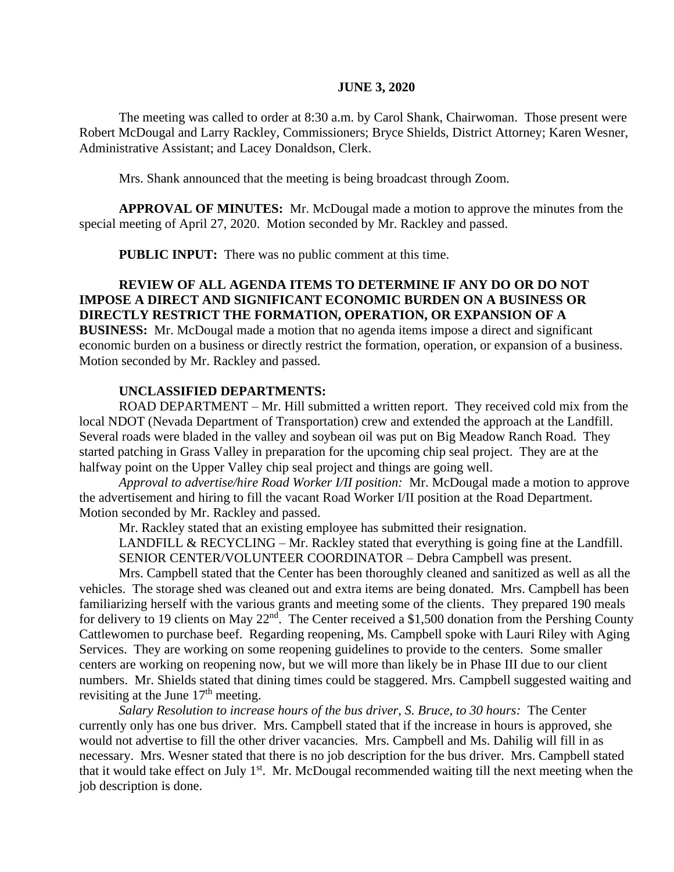### **JUNE 3, 2020**

The meeting was called to order at 8:30 a.m. by Carol Shank, Chairwoman. Those present were Robert McDougal and Larry Rackley, Commissioners; Bryce Shields, District Attorney; Karen Wesner, Administrative Assistant; and Lacey Donaldson, Clerk.

Mrs. Shank announced that the meeting is being broadcast through Zoom.

**APPROVAL OF MINUTES:** Mr. McDougal made a motion to approve the minutes from the special meeting of April 27, 2020. Motion seconded by Mr. Rackley and passed.

**PUBLIC INPUT:** There was no public comment at this time.

## **REVIEW OF ALL AGENDA ITEMS TO DETERMINE IF ANY DO OR DO NOT IMPOSE A DIRECT AND SIGNIFICANT ECONOMIC BURDEN ON A BUSINESS OR DIRECTLY RESTRICT THE FORMATION, OPERATION, OR EXPANSION OF A BUSINESS:** Mr. McDougal made a motion that no agenda items impose a direct and significant economic burden on a business or directly restrict the formation, operation, or expansion of a business. Motion seconded by Mr. Rackley and passed.

### **UNCLASSIFIED DEPARTMENTS:**

ROAD DEPARTMENT – Mr. Hill submitted a written report. They received cold mix from the local NDOT (Nevada Department of Transportation) crew and extended the approach at the Landfill. Several roads were bladed in the valley and soybean oil was put on Big Meadow Ranch Road. They started patching in Grass Valley in preparation for the upcoming chip seal project. They are at the halfway point on the Upper Valley chip seal project and things are going well.

*Approval to advertise/hire Road Worker I/II position:* Mr. McDougal made a motion to approve the advertisement and hiring to fill the vacant Road Worker I/II position at the Road Department. Motion seconded by Mr. Rackley and passed.

Mr. Rackley stated that an existing employee has submitted their resignation.

LANDFILL  $&$  RECYCLING – Mr. Rackley stated that everything is going fine at the Landfill. SENIOR CENTER/VOLUNTEER COORDINATOR – Debra Campbell was present.

Mrs. Campbell stated that the Center has been thoroughly cleaned and sanitized as well as all the vehicles. The storage shed was cleaned out and extra items are being donated. Mrs. Campbell has been familiarizing herself with the various grants and meeting some of the clients. They prepared 190 meals for delivery to 19 clients on May  $22<sup>nd</sup>$ . The Center received a \$1,500 donation from the Pershing County Cattlewomen to purchase beef. Regarding reopening, Ms. Campbell spoke with Lauri Riley with Aging Services. They are working on some reopening guidelines to provide to the centers. Some smaller centers are working on reopening now, but we will more than likely be in Phase III due to our client numbers. Mr. Shields stated that dining times could be staggered. Mrs. Campbell suggested waiting and revisiting at the June  $17<sup>th</sup>$  meeting.

*Salary Resolution to increase hours of the bus driver, S. Bruce, to 30 hours:* The Center currently only has one bus driver. Mrs. Campbell stated that if the increase in hours is approved, she would not advertise to fill the other driver vacancies. Mrs. Campbell and Ms. Dahilig will fill in as necessary. Mrs. Wesner stated that there is no job description for the bus driver. Mrs. Campbell stated that it would take effect on July 1<sup>st</sup>. Mr. McDougal recommended waiting till the next meeting when the job description is done.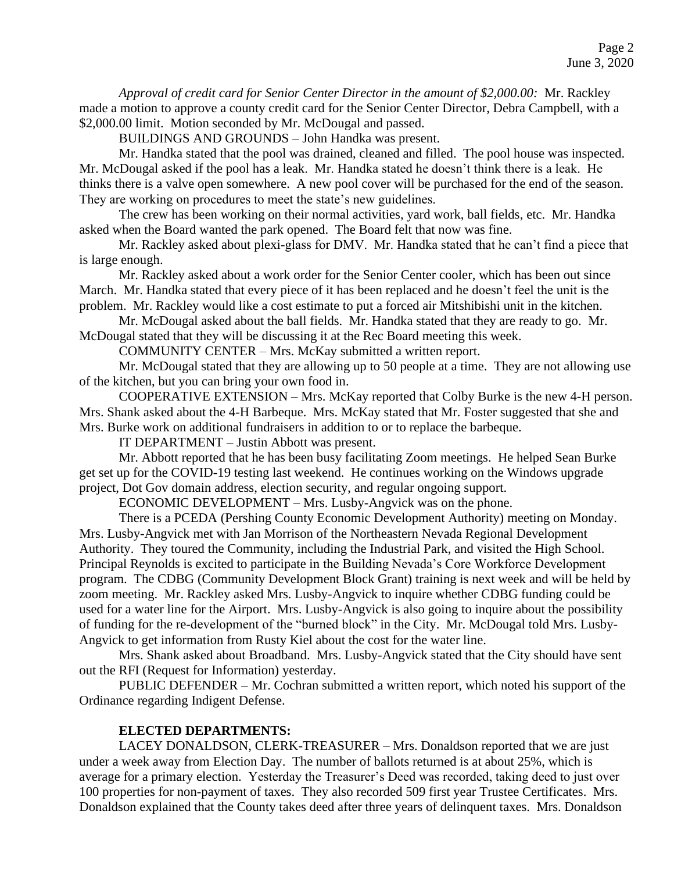*Approval of credit card for Senior Center Director in the amount of \$2,000.00:* Mr. Rackley made a motion to approve a county credit card for the Senior Center Director, Debra Campbell, with a \$2,000.00 limit. Motion seconded by Mr. McDougal and passed.

BUILDINGS AND GROUNDS – John Handka was present.

Mr. Handka stated that the pool was drained, cleaned and filled. The pool house was inspected. Mr. McDougal asked if the pool has a leak. Mr. Handka stated he doesn't think there is a leak. He thinks there is a valve open somewhere. A new pool cover will be purchased for the end of the season. They are working on procedures to meet the state's new guidelines.

The crew has been working on their normal activities, yard work, ball fields, etc. Mr. Handka asked when the Board wanted the park opened. The Board felt that now was fine.

Mr. Rackley asked about plexi-glass for DMV. Mr. Handka stated that he can't find a piece that is large enough.

Mr. Rackley asked about a work order for the Senior Center cooler, which has been out since March. Mr. Handka stated that every piece of it has been replaced and he doesn't feel the unit is the problem. Mr. Rackley would like a cost estimate to put a forced air Mitshibishi unit in the kitchen.

Mr. McDougal asked about the ball fields. Mr. Handka stated that they are ready to go. Mr. McDougal stated that they will be discussing it at the Rec Board meeting this week.

COMMUNITY CENTER – Mrs. McKay submitted a written report.

Mr. McDougal stated that they are allowing up to 50 people at a time. They are not allowing use of the kitchen, but you can bring your own food in.

COOPERATIVE EXTENSION – Mrs. McKay reported that Colby Burke is the new 4-H person. Mrs. Shank asked about the 4-H Barbeque. Mrs. McKay stated that Mr. Foster suggested that she and Mrs. Burke work on additional fundraisers in addition to or to replace the barbeque.

IT DEPARTMENT – Justin Abbott was present.

Mr. Abbott reported that he has been busy facilitating Zoom meetings. He helped Sean Burke get set up for the COVID-19 testing last weekend. He continues working on the Windows upgrade project, Dot Gov domain address, election security, and regular ongoing support.

ECONOMIC DEVELOPMENT – Mrs. Lusby-Angvick was on the phone.

There is a PCEDA (Pershing County Economic Development Authority) meeting on Monday. Mrs. Lusby-Angvick met with Jan Morrison of the Northeastern Nevada Regional Development Authority. They toured the Community, including the Industrial Park, and visited the High School. Principal Reynolds is excited to participate in the Building Nevada's Core Workforce Development program. The CDBG (Community Development Block Grant) training is next week and will be held by zoom meeting. Mr. Rackley asked Mrs. Lusby-Angvick to inquire whether CDBG funding could be used for a water line for the Airport. Mrs. Lusby-Angvick is also going to inquire about the possibility of funding for the re-development of the "burned block" in the City. Mr. McDougal told Mrs. Lusby-Angvick to get information from Rusty Kiel about the cost for the water line.

Mrs. Shank asked about Broadband. Mrs. Lusby-Angvick stated that the City should have sent out the RFI (Request for Information) yesterday.

PUBLIC DEFENDER – Mr. Cochran submitted a written report, which noted his support of the Ordinance regarding Indigent Defense.

## **ELECTED DEPARTMENTS:**

LACEY DONALDSON, CLERK-TREASURER – Mrs. Donaldson reported that we are just under a week away from Election Day. The number of ballots returned is at about 25%, which is average for a primary election. Yesterday the Treasurer's Deed was recorded, taking deed to just over 100 properties for non-payment of taxes. They also recorded 509 first year Trustee Certificates. Mrs. Donaldson explained that the County takes deed after three years of delinquent taxes. Mrs. Donaldson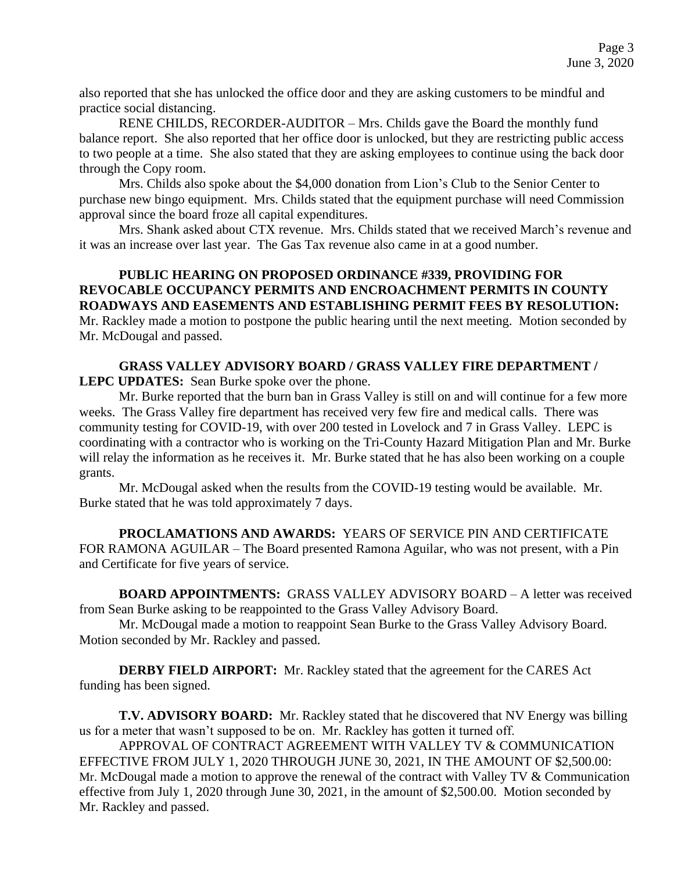also reported that she has unlocked the office door and they are asking customers to be mindful and practice social distancing.

RENE CHILDS, RECORDER-AUDITOR – Mrs. Childs gave the Board the monthly fund balance report. She also reported that her office door is unlocked, but they are restricting public access to two people at a time. She also stated that they are asking employees to continue using the back door through the Copy room.

Mrs. Childs also spoke about the \$4,000 donation from Lion's Club to the Senior Center to purchase new bingo equipment. Mrs. Childs stated that the equipment purchase will need Commission approval since the board froze all capital expenditures.

Mrs. Shank asked about CTX revenue. Mrs. Childs stated that we received March's revenue and it was an increase over last year. The Gas Tax revenue also came in at a good number.

# **PUBLIC HEARING ON PROPOSED ORDINANCE #339, PROVIDING FOR REVOCABLE OCCUPANCY PERMITS AND ENCROACHMENT PERMITS IN COUNTY ROADWAYS AND EASEMENTS AND ESTABLISHING PERMIT FEES BY RESOLUTION:**  Mr. Rackley made a motion to postpone the public hearing until the next meeting. Motion seconded by Mr. McDougal and passed.

# **GRASS VALLEY ADVISORY BOARD / GRASS VALLEY FIRE DEPARTMENT /**

**LEPC UPDATES:** Sean Burke spoke over the phone.

Mr. Burke reported that the burn ban in Grass Valley is still on and will continue for a few more weeks. The Grass Valley fire department has received very few fire and medical calls. There was community testing for COVID-19, with over 200 tested in Lovelock and 7 in Grass Valley. LEPC is coordinating with a contractor who is working on the Tri-County Hazard Mitigation Plan and Mr. Burke will relay the information as he receives it. Mr. Burke stated that he has also been working on a couple grants.

Mr. McDougal asked when the results from the COVID-19 testing would be available. Mr. Burke stated that he was told approximately 7 days.

**PROCLAMATIONS AND AWARDS:** YEARS OF SERVICE PIN AND CERTIFICATE FOR RAMONA AGUILAR – The Board presented Ramona Aguilar, who was not present, with a Pin and Certificate for five years of service.

**BOARD APPOINTMENTS:** GRASS VALLEY ADVISORY BOARD – A letter was received from Sean Burke asking to be reappointed to the Grass Valley Advisory Board.

Mr. McDougal made a motion to reappoint Sean Burke to the Grass Valley Advisory Board. Motion seconded by Mr. Rackley and passed.

**DERBY FIELD AIRPORT:** Mr. Rackley stated that the agreement for the CARES Act funding has been signed.

**T.V. ADVISORY BOARD:** Mr. Rackley stated that he discovered that NV Energy was billing us for a meter that wasn't supposed to be on. Mr. Rackley has gotten it turned off.

APPROVAL OF CONTRACT AGREEMENT WITH VALLEY TV & COMMUNICATION EFFECTIVE FROM JULY 1, 2020 THROUGH JUNE 30, 2021, IN THE AMOUNT OF \$2,500.00: Mr. McDougal made a motion to approve the renewal of the contract with Valley TV & Communication effective from July 1, 2020 through June 30, 2021, in the amount of \$2,500.00. Motion seconded by Mr. Rackley and passed.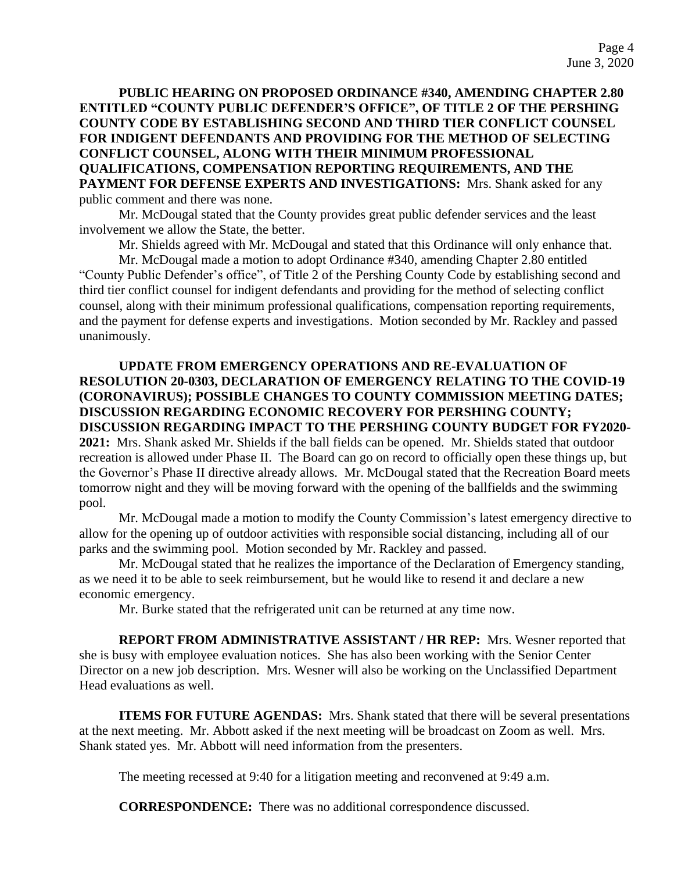**PUBLIC HEARING ON PROPOSED ORDINANCE #340, AMENDING CHAPTER 2.80 ENTITLED "COUNTY PUBLIC DEFENDER'S OFFICE", OF TITLE 2 OF THE PERSHING COUNTY CODE BY ESTABLISHING SECOND AND THIRD TIER CONFLICT COUNSEL FOR INDIGENT DEFENDANTS AND PROVIDING FOR THE METHOD OF SELECTING CONFLICT COUNSEL, ALONG WITH THEIR MINIMUM PROFESSIONAL QUALIFICATIONS, COMPENSATION REPORTING REQUIREMENTS, AND THE PAYMENT FOR DEFENSE EXPERTS AND INVESTIGATIONS:** Mrs. Shank asked for any public comment and there was none.

Mr. McDougal stated that the County provides great public defender services and the least involvement we allow the State, the better.

Mr. Shields agreed with Mr. McDougal and stated that this Ordinance will only enhance that.

Mr. McDougal made a motion to adopt Ordinance #340, amending Chapter 2.80 entitled "County Public Defender's office", of Title 2 of the Pershing County Code by establishing second and third tier conflict counsel for indigent defendants and providing for the method of selecting conflict counsel, along with their minimum professional qualifications, compensation reporting requirements, and the payment for defense experts and investigations. Motion seconded by Mr. Rackley and passed unanimously.

**UPDATE FROM EMERGENCY OPERATIONS AND RE-EVALUATION OF RESOLUTION 20-0303, DECLARATION OF EMERGENCY RELATING TO THE COVID-19 (CORONAVIRUS); POSSIBLE CHANGES TO COUNTY COMMISSION MEETING DATES; DISCUSSION REGARDING ECONOMIC RECOVERY FOR PERSHING COUNTY; DISCUSSION REGARDING IMPACT TO THE PERSHING COUNTY BUDGET FOR FY2020- 2021:** Mrs. Shank asked Mr. Shields if the ball fields can be opened. Mr. Shields stated that outdoor recreation is allowed under Phase II. The Board can go on record to officially open these things up, but the Governor's Phase II directive already allows. Mr. McDougal stated that the Recreation Board meets tomorrow night and they will be moving forward with the opening of the ballfields and the swimming pool.

Mr. McDougal made a motion to modify the County Commission's latest emergency directive to allow for the opening up of outdoor activities with responsible social distancing, including all of our parks and the swimming pool. Motion seconded by Mr. Rackley and passed.

Mr. McDougal stated that he realizes the importance of the Declaration of Emergency standing, as we need it to be able to seek reimbursement, but he would like to resend it and declare a new economic emergency.

Mr. Burke stated that the refrigerated unit can be returned at any time now.

**REPORT FROM ADMINISTRATIVE ASSISTANT / HR REP:** Mrs. Wesner reported that she is busy with employee evaluation notices. She has also been working with the Senior Center Director on a new job description. Mrs. Wesner will also be working on the Unclassified Department Head evaluations as well.

**ITEMS FOR FUTURE AGENDAS:** Mrs. Shank stated that there will be several presentations at the next meeting. Mr. Abbott asked if the next meeting will be broadcast on Zoom as well. Mrs. Shank stated yes. Mr. Abbott will need information from the presenters.

The meeting recessed at 9:40 for a litigation meeting and reconvened at 9:49 a.m.

**CORRESPONDENCE:** There was no additional correspondence discussed.